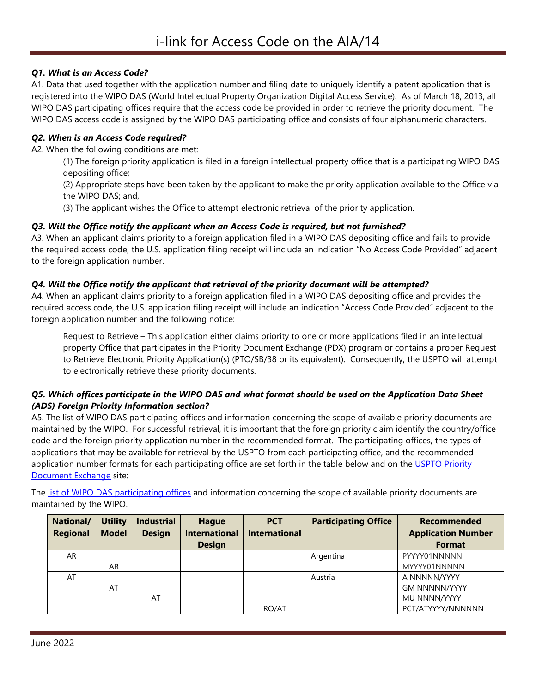# *Q1. What is an Access Code?*

A1. Data that used together with the application number and filing date to uniquely identify a patent application that is registered into the WIPO DAS (World Intellectual Property Organization Digital Access Service). As of March 18, 2013, all WIPO DAS participating offices require that the access code be provided in order to retrieve the priority document. The WIPO DAS access code is assigned by the WIPO DAS participating office and consists of four alphanumeric characters.

### *Q2. When is an Access Code required?*

A2. When the following conditions are met:

(1) The foreign priority application is filed in a foreign intellectual property office that is a participating WIPO DAS depositing office;

(2) Appropriate steps have been taken by the applicant to make the priority application available to the Office via the WIPO DAS; and,

(3) The applicant wishes the Office to attempt electronic retrieval of the priority application.

#### *Q3. Will the Office notify the applicant when an Access Code is required, but not furnished?*

A3. When an applicant claims priority to a foreign application filed in a WIPO DAS depositing office and fails to provide the required access code, the U.S. application filing receipt will include an indication "No Access Code Provided" adjacent to the foreign application number.

#### *Q4. Will the Office notify the applicant that retrieval of the priority document will be attempted?*

A4. When an applicant claims priority to a foreign application filed in a WIPO DAS depositing office and provides the required access code, the U.S. application filing receipt will include an indication "Access Code Provided" adjacent to the foreign application number and the following notice:

Request to Retrieve – This application either claims priority to one or more applications filed in an intellectual property Office that participates in the Priority Document Exchange (PDX) program or contains a proper Request to Retrieve Electronic Priority Application(s) (PTO/SB/38 or its equivalent). Consequently, the USPTO will attempt to electronically retrieve these priority documents.

# *Q5. Which offices participate in the WIPO DAS and what format should be used on the Application Data Sheet (ADS) Foreign Priority Information section?*

A5. The list of WIPO DAS participating offices and information concerning the scope of available priority documents are maintained by the WIPO. For successful retrieval, it is important that the foreign priority claim identify the country/office code and the foreign priority application number in the recommended format. The participating offices, the types of applications that may be available for retrieval by the USPTO from each participating office, and the recommended application number formats for each participating office are set forth in the table below and on the [USPTO Priority](https://www.uspto.gov/patents/basics/international-protection/electronic-priority-document-exchange-pdx)  [Document Exchange](https://www.uspto.gov/patents/basics/international-protection/electronic-priority-document-exchange-pdx) site:

The [list of WIPO DAS participating offices](https://www.wipo.int/das/en/participating_offices.html) and information concerning the scope of available priority documents are maintained by the WIPO.

| National/<br><b>Regional</b> | <b>Utility</b><br><b>Model</b> | <b>Industrial</b><br><b>Design</b> | <b>Hague</b><br><b>International</b> | <b>PCT</b><br><b>International</b> | <b>Participating Office</b> | Recommended<br><b>Application Number</b> |
|------------------------------|--------------------------------|------------------------------------|--------------------------------------|------------------------------------|-----------------------------|------------------------------------------|
|                              |                                |                                    | <b>Design</b>                        |                                    |                             | Format                                   |
| AR                           |                                |                                    |                                      |                                    | Argentina                   | PYYYY01NNNNN                             |
|                              | AR.                            |                                    |                                      |                                    |                             | MYYYY01NNNNN                             |
| AT                           |                                |                                    |                                      |                                    | Austria                     | A NNNNN/YYYY                             |
|                              | AT                             |                                    |                                      |                                    |                             | <b>GM NNNNN/YYYY</b>                     |
|                              |                                | AT                                 |                                      |                                    |                             | MU NNNN/YYYY                             |
|                              |                                |                                    |                                      | RO/AT                              |                             | PCT/ATYYYY/NNNNNN                        |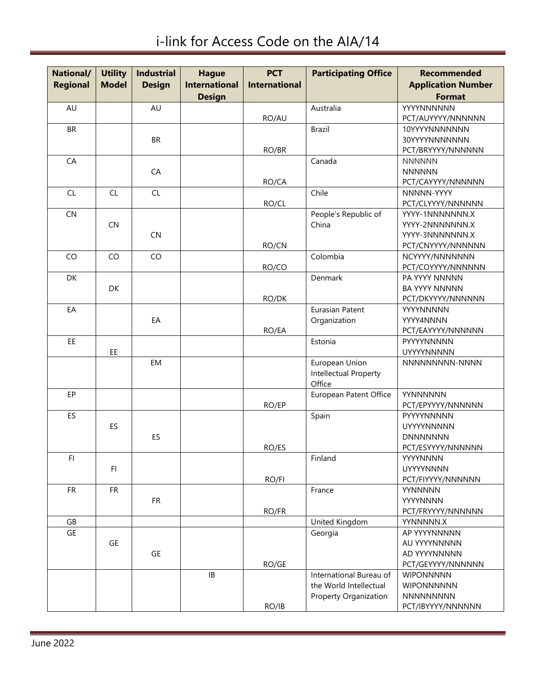i-link for Access Code on the AIA/14

| National/       | <b>Utility</b> | <b>Industrial</b> | <b>Hague</b>         | <b>PCT</b>           | <b>Participating Office</b>  | <b>Recommended</b>           |
|-----------------|----------------|-------------------|----------------------|----------------------|------------------------------|------------------------------|
| <b>Regional</b> | <b>Model</b>   | <b>Design</b>     | <b>International</b> | <b>International</b> |                              | <b>Application Number</b>    |
|                 |                |                   | <b>Design</b>        |                      |                              | <b>Format</b>                |
|                 |                | AU                |                      |                      |                              | YYYYNNNNNN                   |
| AU              |                |                   |                      |                      | Australia                    |                              |
|                 |                |                   |                      | RO/AU                |                              | PCT/AUYYYY/NNNNNN            |
| <b>BR</b>       |                |                   |                      |                      | <b>Brazil</b>                | 10YYYYNNNNNNN                |
|                 |                | <b>BR</b>         |                      |                      |                              | 30YYYYNNNNNNN                |
| CA              |                |                   |                      | RO/BR                |                              | PCT/BRYYYY/NNNNNN            |
|                 |                |                   |                      |                      | Canada                       | <b>NNNNNN</b>                |
|                 |                | CA                |                      |                      |                              | <b>NNNNNN</b>                |
|                 | CL             |                   |                      | RO/CA                | Chile                        | PCT/CAYYYY/NNNNNN            |
| CL              |                | CL                |                      |                      |                              | NNNNN-YYYY                   |
|                 |                |                   |                      | RO/CL                |                              | PCT/CLYYYY/NNNNNN            |
| CN              |                |                   |                      |                      | People's Republic of         | YYYY-1NNNNNNN.X              |
|                 | <b>CN</b>      |                   |                      |                      | China                        | YYYY-2NNNNNNN.X              |
|                 |                | CN                |                      |                      |                              | YYYY-3NNNNNNN.X              |
|                 |                |                   |                      | RO/CN                |                              | PCT/CNYYYY/NNNNNN            |
| CO              | CO             | CO                |                      |                      | Colombia                     | NCYYYY/NNNNNNN               |
|                 |                |                   |                      | RO/CO                |                              | PCT/COYYYY/NNNNNN            |
| DK              |                |                   |                      |                      | Denmark                      | PA YYYY NNNNN                |
|                 | <b>DK</b>      |                   |                      |                      |                              | <b>BA YYYY NNNNN</b>         |
|                 |                |                   |                      | RO/DK                |                              | PCT/DKYYYY/NNNNNN            |
| EA              |                |                   |                      |                      | Eurasian Patent              | YYYYNNNNN                    |
|                 |                | EA                |                      |                      | Organization                 | YYYY4NNNN                    |
|                 |                |                   |                      | RO/EA                |                              | PCT/EAYYYY/NNNNNN            |
| EE.             |                |                   |                      |                      | Estonia                      | PYYYYNNNNN                   |
|                 | EE.            |                   |                      |                      |                              | <b>UYYYYNNNNN</b>            |
|                 |                | EM                |                      |                      | European Union               | NNNNNNNNNN-NNNN              |
|                 |                |                   |                      |                      | Intellectual Property        |                              |
|                 |                |                   |                      |                      | Office                       |                              |
| EP              |                |                   |                      |                      | European Patent Office       | YYNNNNNN                     |
|                 |                |                   |                      | RO/EP                |                              | PCT/EPYYYY/NNNNNN            |
| ES              |                |                   |                      |                      | Spain                        | PYYYYNNNNN                   |
|                 | ES             |                   |                      |                      |                              | <b>UYYYYNNNNN</b>            |
|                 |                | ES                |                      |                      |                              | <b>DNNNNNNN</b>              |
|                 |                |                   |                      | RO/ES                |                              | PCT/ESYYYY/NNNNNN            |
| FI.             | FI.            |                   |                      |                      | Finland                      | YYYYNNNN<br><b>UYYYYNNNN</b> |
|                 |                |                   |                      |                      |                              | PCT/FIYYYY/NNNNNN            |
|                 |                |                   |                      | RO/FI                |                              |                              |
| FR.             | <b>FR</b>      |                   |                      |                      | France                       | <b>YYNNNNN</b>               |
|                 |                | <b>FR</b>         |                      |                      |                              | YYYYNNNN                     |
|                 |                |                   |                      | RO/FR                |                              | PCT/FRYYYY/NNNNNN            |
| GB              |                |                   |                      |                      | United Kingdom               | YYNNNNN.X                    |
| GE              |                |                   |                      |                      | Georgia                      | AP YYYYNNNNN                 |
|                 | GE             |                   |                      |                      |                              | AU YYYYNNNNN<br>AD YYYYNNNNN |
|                 |                | GE                |                      |                      |                              |                              |
|                 |                |                   |                      | RO/GE                |                              | PCT/GEYYYY/NNNNNN            |
|                 |                |                   | $\mathsf{IB}$        |                      | International Bureau of      | <b>WIPONNNNN</b>             |
|                 |                |                   |                      |                      | the World Intellectual       | <b>WIPONNNNNN</b>            |
|                 |                |                   |                      |                      | <b>Property Organization</b> | <b>NNNNNNNNN</b>             |
|                 |                |                   |                      | RO/IB                |                              | PCT/IBYYYY/NNNNNN            |